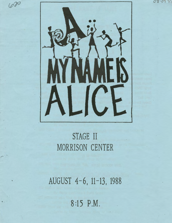



600

# STAGE II MORRISON CENTER

AUGUST 4-6, 11-13, 1988

8 :15 P.M.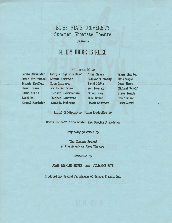### BOISE STATE UNIVERSITY Summer Showcase Theatre

#### presents

## **R .... mY namE IS RLICE**

### with material by

Calvin Alexander Susan Birkinhead Maggie Bloofield David Crane David Evans Carol Hall Cheryl Hardwick

Georgia Bogardus Holof Anne Meara Winnie Holtzman Cassandra Medley Doug Katsaros David Mette Marta Kaufman **Art Murray** Richard LaGravenese Susan Rice Stephen Lawrence Glen Roven Amanda McBroom. Mark Saltzman

James Shorter June Siegel Lucy Simon Michael Skloff Steve Tesich Don Tucker David Zippel

Initial Off-Broadway Stage Production by

Rosita Sarnoff, Anne Wilder, and Douglas F. Goodman

Originally produced by

The Women's Project at the American Place Theatre

Conceived by

JOAN MICKLIN SILUER and JULIANNE BOYD

Produced by Special Permission of Samuel French, Inc.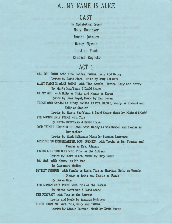# A ... MY NAME IS ALICE

### CAST

Cin Alphabetical Orderl Holly Holsinger Tausha Johnson Nancy Nyman Cristina Poole Candace Reynolds

# ACT 1

ALL GIRL BAND with Tina, Candee, Tausha, Holly and Nancy Lyrics by David Zippel; Music by Doug Katsaros A...MY NAME IS ALICE POEMS with Tina, Candee, Tausha, Holly and Nancy By Marta Kauffman & David Crane AT MY AGE with Holly as Vicky and Nancy as Karen Lyrics by June Siegel: Music by Glen Roven TRASH with Candee as Mindy, Tausha as Mrs. Kaplan, Nancy as Howard and Holly as Stanley Lyrics by Marta Kauffman & David Crane: Music by Michael Skloff FOR WOMEN ONLY POEMS with Tina By Marta Kauffman & David Crane GOOD THING I LEARNED TO DANCE with Nancy as the Dancer and Candee as her mother lyrics by Mark Saltzman; Music by Stephen Lawrence WELCOME TO KINDERGARTEN, MRS. JOHNSON with Tausha as Ms. Thomas and Candee as Mrs. Johnson I SURE LIKE THE BOYS with Tina as the Actress lyrics by Steve Tesich; Music by Lucy Simon MS. MAE with Nancy as Mr. Mae By Cassandra Medley DETROIT PERSONS with Candee as Rosie, Tina as Sheridan, Holly as Vonelle, Nancy as Spike and Tausha as Wanda By Susan Rice FOR WOMEN ONLY POEMS with Tina as the Poetess By Marta Kauffman & David Crane THE PORTRAIT with Tina as the Actress Lyrics and Music by Amanda McBroom BLUER THAN YOU with Tina, Holly and Tausha

lyrics by Winnie Holzman; Music by David Evans